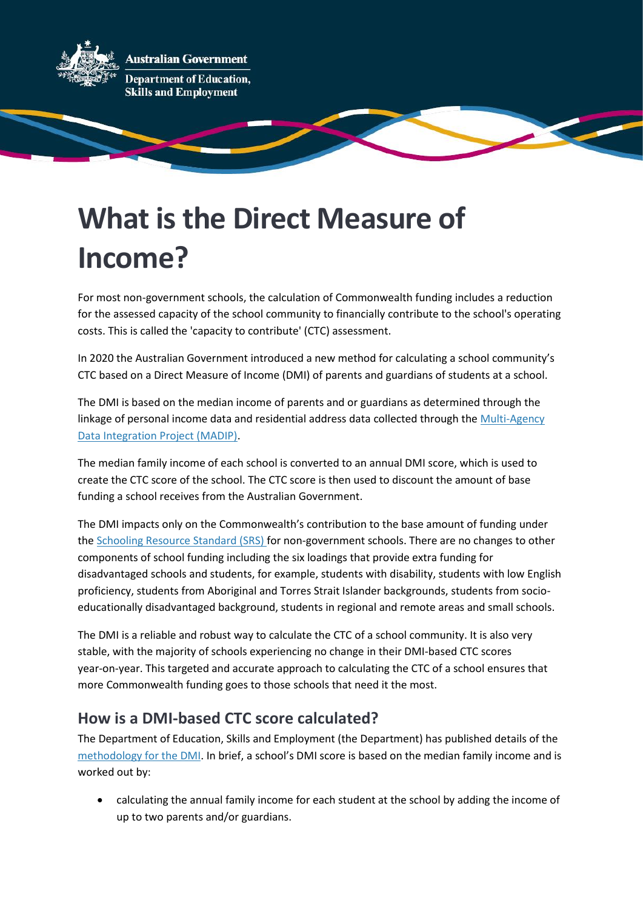

# **What is the Direct Measure of Income?**

For most non-government schools, the calculation of Commonwealth funding includes a reduction for the assessed capacity of the school community to financially contribute to the school's operating costs. This is called the 'capacity to contribute' (CTC) assessment.

In 2020 the Australian Government introduced a new method for calculating a school community's CTC based on a [Direct Measure of Income](https://www.dese.gov.au/quality-schools-package/fact-sheets/what-direct-measure-income) (DMI) of parents and guardians of students at a school.

The DMI is based on the median income of parents and or guardians as determined through the linkage of personal income data and residential address data collected through the Multi-Agency [Data Integration Project](https://www.abs.gov.au/about/data-services/data-integration/integrated-data/multi-agency-data-integration-project-madip) (MADIP).

The median family income of each school is converted to an annual DMI score, which is used to create the CTC score of the school. The CTC score is then used to discount the amount of base funding a school receives from the Australian Government.

The DMI impacts only on the Commonwealth's contribution to the base amount of funding under th[e Schooling Resource Standard \(SRS\)](https://www.dese.gov.au/quality-schools-package/fact-sheets/what-schooling-resource-standard-and-how-does-it-work) for non-government schools. There are no changes to other components of school funding including the six loadings that provide extra funding for disadvantaged schools and students, for example, students with disability, students with low English proficiency, students from Aboriginal and Torres Strait Islander backgrounds, students from socioeducationally disadvantaged background, students in regional and remote areas and small schools.

The DMI is a reliable and robust way to calculate the CTC of a school community. It is also very stable, with the majority of schools experiencing no change in their DMI-based CTC scores year-on-year. This targeted and accurate approach to calculating the CTC of a school ensures that more Commonwealth funding goes to those schools that need it the most.

## **How is a DMI-based CTC score calculated?**

The Department of Education, Skills and Employment (the Department) has published details of the [methodology for the DMI](https://www.dese.gov.au/quality-schools-package/fact-sheets/what-methodology-direct-measure-income-dmi). In brief, a school's DMI score is based on the median family income and is worked out by:

• calculating the annual family income for each student at the school by adding the income of up to two parents and/or guardians.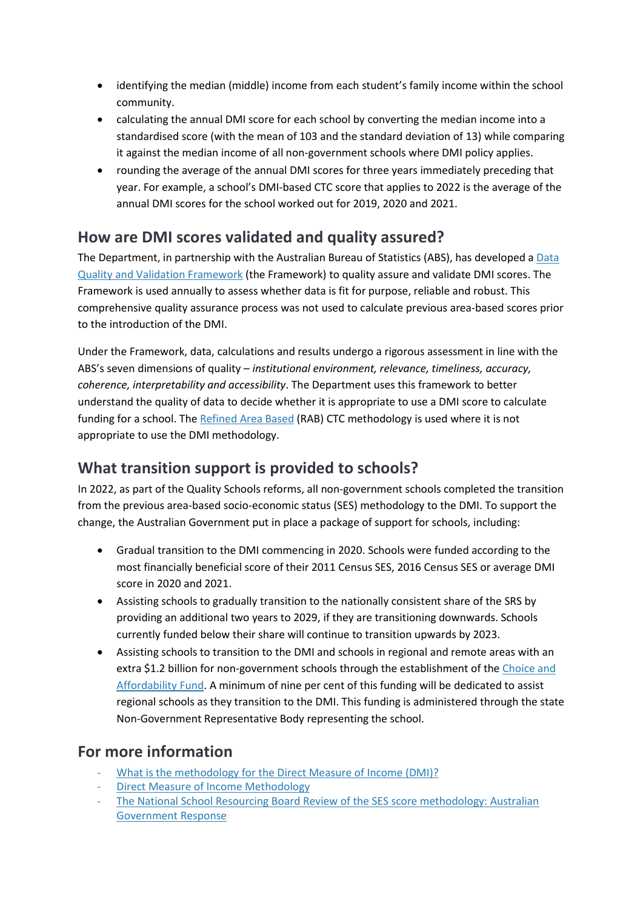- identifying the median (middle) income from each student's family income within the school community.
- calculating the annual DMI score for each school by converting the median income into a standardised score (with the mean of 103 and the standard deviation of 13) while comparing it against the median income of all non-government schools where DMI policy applies.
- rounding the average of the annual DMI scores for three years immediately preceding that year. For example, a school's DMI-based CTC score that applies to 2022 is the average of the annual DMI scores for the school worked out for 2019, 2020 and 2021.

## **How are DMI scores validated and quality assured?**

The Department, in partnership with the Australian Bureau of Statistics (ABS), has developed a [Data](https://www.dese.gov.au/uncategorised/resources/abs-capacity-contribute-data-quality-framework)  [Quality and Validation Framework](https://www.dese.gov.au/uncategorised/resources/abs-capacity-contribute-data-quality-framework) (the Framework) to quality assure and validate DMI scores. The Framework is used annually to assess whether data is fit for purpose, reliable and robust. This comprehensive quality assurance process was not used to calculate previous area-based scores prior to the introduction of the DMI.

Under the Framework, data, calculations and results undergo a rigorous assessment in line with the ABS's seven dimensions of quality – *institutional environment, relevance, timeliness, accuracy, coherence, interpretability and accessibility*. The Department uses this framework to better understand the quality of data to decide whether it is appropriate to use a DMI score to calculate funding for a school. The [Refined Area Based](https://www.dese.gov.au/quality-schools-package/fact-sheets/what-refined-area-based-score) (RAB) CTC methodology is used where it is not appropriate to use the DMI methodology.

### **What transition support is provided to schools?**

In 2022, as part of the Quality Schools reforms, all non-government schools completed the transition from the previous area-based socio-economic status (SES) methodology to the DMI. To support the change, the Australian Government put in place a package of support for schools, including:

- Gradual transition to the DMI commencing in 2020. Schools were funded according to the most financially beneficial score of their 2011 Census SES, 2016 Census SES or average DMI score in 2020 and 2021.
- Assisting schools to gradually transition to the nationally consistent share of the SRS by providing an additional two years to 2029, if they are transitioning downwards. Schools currently funded below their share will continue to transition upwards by 2023.
- Assisting schools to transition to the DMI and schools in regional and remote areas with an extra \$1.2 billion for non-government schools through the establishment of the [Choice and](https://www.dese.gov.au/quality-schools-package/fact-sheets/what-choice-and-affordability-fund)  [Affordability Fund.](https://www.dese.gov.au/quality-schools-package/fact-sheets/what-choice-and-affordability-fund) A minimum of nine per cent of this funding will be dedicated to assist regional schools as they transition to the DMI. This funding is administered through the state Non-Government Representative Body representing the school.

### **For more information**

- [What is the methodology for the Direct Measure of Income \(DMI\)?](https://www.dese.gov.au/quality-schools-package/fact-sheets/what-methodology-direct-measure-income-dmi)
- [Direct Measure of Income Methodology](https://www.dese.gov.au/quality-schools-package/resources/direct-measure-income-methodology-document)
- [The National School Resourcing Board Review of the SES score methodology: Australian](https://www.dese.gov.au/national-school-resourcing-board/resources/national-school-resourcing-board-review-ses-score-methodology-australian-government-response)  [Government Response](https://www.dese.gov.au/national-school-resourcing-board/resources/national-school-resourcing-board-review-ses-score-methodology-australian-government-response)